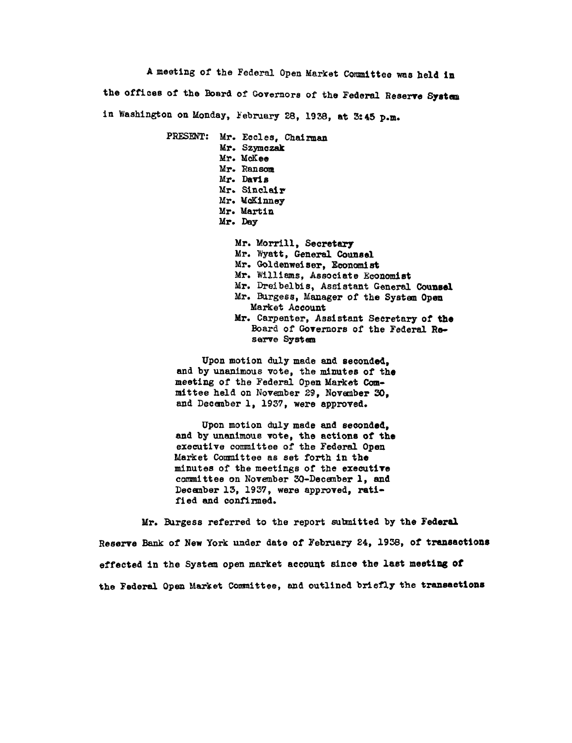**A** meeting of the Federal Open Market Committee was held in the offices of the Board **of** Governors of the Federal Reserve **System**  in Washington on Monday, February 28, **1938,** at 3:45 p.m.

> PRESENT: Mr. Eccles, Chairman Mr. Szymczak Mr. *McKee*  Mr. Ransom *Mr.* Davis Mr. Sinclair Mr. McKinney Mr. Martin Mr. Day Mr. Morrill, Secretary

Mr. Wyatt, General Counsel Mr. Goldenweiser, Economist Mr. Williams, Associate Economist Mr. Dreibelbis, Assistant General Counsel Mr. Burgess, Manager of the System Open Market Account Mr. Carpenter, Assistant Secretary of the Board of Governors of the Federal Reserve System

Upon motion duly made and seconded, and **by** unanimous vote, the minutes of the meeting of the Federal Open Market **Com** mittee held on November **29,** November **30,**  and December **1, 1937,** were approved.

Upon motion duly made and seconded, and **by** unanimous vote, the actions of the executive committee of the Federal Open Market Committee as set forth in the minutes of the meetings of the executive committee on November 30-December **1,** and December **13, 1937,** were approved, rati fied and confirmed.

Mr. Burgess referred to the report submitted **by** the Federal Reserve Bank of New York under date of February 24, **1938,** of transactions effected in the System open market account since the last meeting **Of**  the Federal Open Market Committee, and outlined briefly the transactions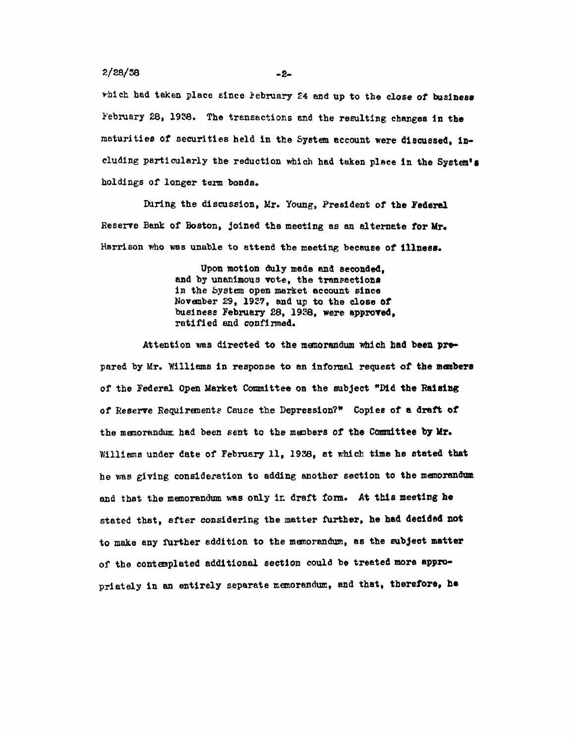**2/28/38** -2

which had taken place since **February** 24 and up to the close of business February **28,** 1938. The transactions and the resulting changes in the maturities of securities held in the System account were discussed, in cluding particularly the reduction which had taken place in the System's holdings of longer term bonds.

During the discussion, Mr. Young, President **of the Federal**  Reserve Bank of Boston, joined the meeting as an alternate **for Mr.**  Harrison who was unable to attend the meeting because of **illness.** 

> Upon motion duly made and seconded, and by unanimous vote, the transactions in the System open market account since November **29, 1937,** and up to the close of business February **28, 1938,** were approved, ratified and confirmed.

Attention was directed to the memorandum which **had been** pre pared **by** Mr. Williams in response to an informal request of the members of the Federal Open Market Committee on the subject **"Did** the Raising of Reserve Requirements Cause the Depression?" Copies of a draft **of**  the memorandum had been sent to the members **of** the Committee **by Mr.**  Williams under date of February 11, **1938,** at which time he stated that he was giving consideration to adding another section to the memorandum and that the memorandum was only in draft form. At this meeting he stated that, after considering the matter further, he had decided **not**  to make any further addition to the memorandum, as the subject matter of the contemplated additional section could **be** treated more appro priately in an entirely separate memorandum, **and** that, therefore, he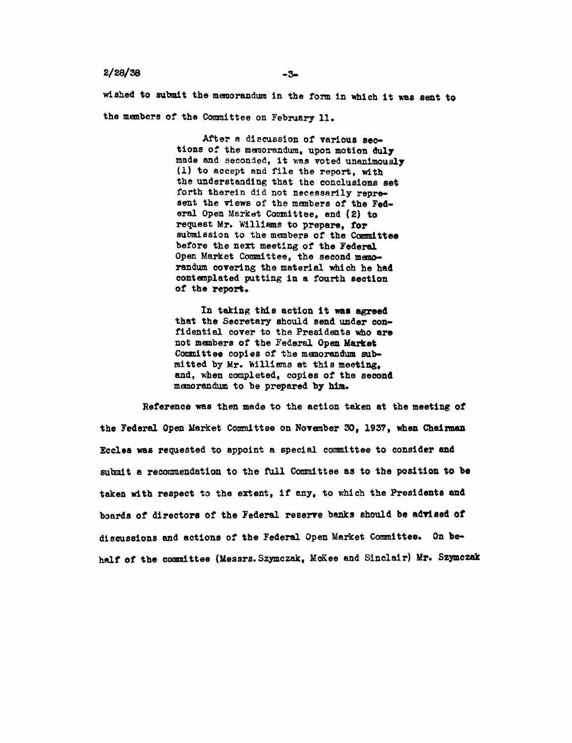## **2/28/38**

wished to submit the memorandum in the form in which it was sent to the members of the Committee on February **11.** 

> After a discussion of various sec tions of the memorandum, upon motion duly made and seconded, it was voted unanimously (1) to accept and file the report, with the understanding that the conclusions set forth therein did not necessarily represent the views of the members of the **Fed** eral Open Market Committee, and (2) to request Mr. Williams to prepare, **for**  submission to the members of the Committee before the next meeting of the Federal Open Market Committee, the second memorandum covering the material which he **had**  contemplated putting in a fourth section of the report.

**In taking** this action it was agreed that the Secretary should send under confidential cover to the Presidents who are not members of the Federal Open Market Committee copies of the memorandum sub **mitted by** Mr. Williams at this meeting, and, when completed, copies of the second memorandum to **be** prepared **by him.** 

Reference was then made to the action taken at the meeting of the Federal Open Market Committee on November **30, 1937,** when Chairman Eccles was requested to appoint a special committee to consider and submit a recommendation to the full Committee as to the position to **be**  taken with respect to the extent, if any, to which the Presidents and boards of directors of the Federal reserve banks should be advised of discussions and actions of the Federal Open Market Committee. On be **half** of the committee (Messrs.Szymczak, McKee and Sinclair) Mr. Szymczak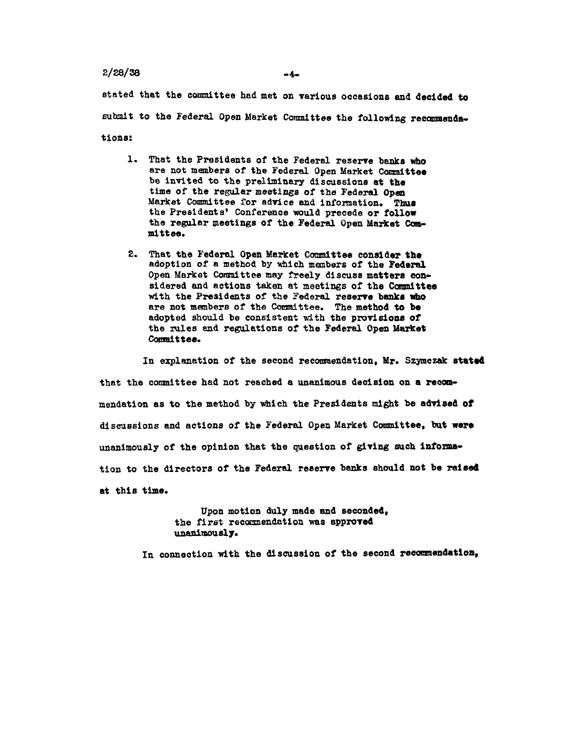## $2/28/38$  -4-

stated that the committee had met on various occasions and decided to submit to the Federal Open Market Committee the following recommenda tions:

- **1.** That the Presidents of the Federal reserve banks who are not members of the Federal Open Market Committee be invited to the preliminary discussions at the time of the regular meetings of the Federal Open Market Committee for advice and information. Thus the Presidents' Conference would precede or follow the regular meetings of the Federal Open Market Com mittee.
- 2. That the Federal Open **Market** Committee consider the adoption of a method **by** which members of the Federal Open Market Committee may freely discuss matters con sidered and actions taken at meetings of the Committee with the Presidents of the Federal reserve banks **who**  are not members of the Committee. The method **to be**  adopted should be consistent with the provisions **of**  the rules and regulations of the Federal Open Market Committee.

In explanation of the second recommendation, **Mr.** Szymczak stated that the committee had not reached a unanimous decision **on** a recom mendation as to the method **by** which the Presidents might **be advised of**  discussions and actions of the Federal **Open** Market Committee, but were unanimously of the opinion that the question **of** giving such informa tion to the directors of the Federal reserve **banks** should not **be** raised at this time.

> **Upon motion duly made and seconded, the** first recommendation **was approved unanimously.**

In connection with the discussion **of** the second recommendation,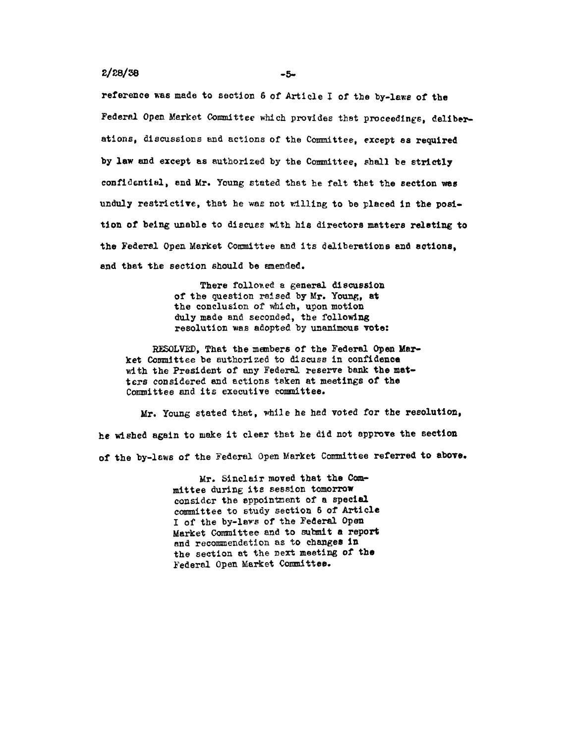## **2/28/38** -5.

reference was made to section **6** of Article I of the by-laws of the Federal Open Market Committee which provides that proceedings, deliber ations, discussions and actions of the Committee, except as required **by** law and except as authorized **by** the Committee, shall be strictly confidential, and Mr. Young stated that he felt that the section **was**  unduly restrictive, that he was not willing to be placed in the position of being unable to discuss with his directors matters relating to the Federal Open Market Committee and its deliberations and actions, and that the section should be amended.

> There followed a general discussion of the question raised **by** Mr. Young, at the conclusion of which, upon motion duly made and seconded, the following resolution was adopted by unanimous vote:

RESOLVED, That the members of the Federal Open Mar **ket** Committee be authorized to discuss in confidence with the President of any Federal reserve bank the mat ters considered and actions taken at meetings **of** the Committee and its executive committee.

Mr. Young stated that, while he **had** voted for the resolution, he wished again to make it clear that he did not approve the section **of** the by-laws of the Federal Open Market Committee referred to above.

> Mr. Sinclair **moved that the** Com **mittee** during **its** session **tomorrow**  consider **the appointment of a** special **committee** to study **section 6** of **Article I of** the **by-laws of** the Federal **Open Market** Committee and **to submit a report and** recommendation as to changes **in the** section at the next meeting **of the**  Federal Open Market Committee.